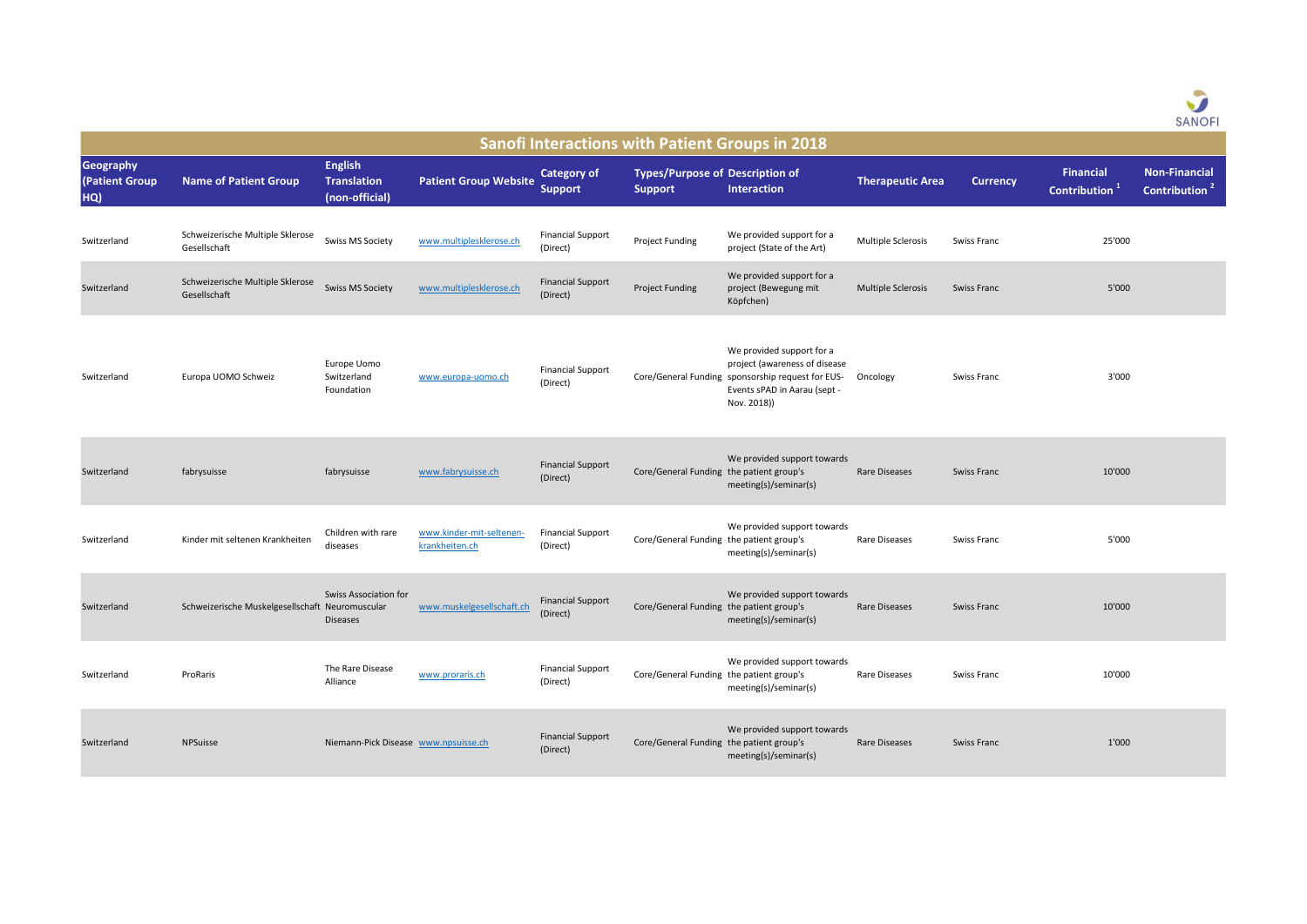

| <b>Sanofi Interactions with Patient Groups in 2018</b> |                                                  |                                                        |                                            |                                      |                                                          |                                                                                                                                                                |                           |                    |                                               |                                                   |
|--------------------------------------------------------|--------------------------------------------------|--------------------------------------------------------|--------------------------------------------|--------------------------------------|----------------------------------------------------------|----------------------------------------------------------------------------------------------------------------------------------------------------------------|---------------------------|--------------------|-----------------------------------------------|---------------------------------------------------|
| Geography<br>(Patient Group<br>HQ)                     | <b>Name of Patient Group</b>                     | <b>English</b><br><b>Translation</b><br>(non-official) | <b>Patient Group Website</b>               | <b>Category of</b><br><b>Support</b> | <b>Types/Purpose of Description of</b><br><b>Support</b> | <b>Interaction</b>                                                                                                                                             | <b>Therapeutic Area</b>   | <b>Currency</b>    | <b>Financial</b><br>Contribution <sup>1</sup> | <b>Non-Financial</b><br>Contribution <sup>2</sup> |
| Switzerland                                            | Schweizerische Multiple Sklerose<br>Gesellschaft | <b>Swiss MS Society</b>                                | www.multiplesklerose.ch                    | <b>Financial Support</b><br>(Direct) | Project Funding                                          | We provided support for a<br>project (State of the Art)                                                                                                        | <b>Multiple Sclerosis</b> | Swiss Franc        | 25'000                                        |                                                   |
| Switzerland                                            | Schweizerische Multiple Sklerose<br>Gesellschaft | <b>Swiss MS Society</b>                                | www.multiplesklerose.ch                    | <b>Financial Support</b><br>(Direct) | Project Funding                                          | We provided support for a<br>project (Bewegung mit<br>Köpfchen)                                                                                                | <b>Multiple Sclerosis</b> | Swiss Franc        | 5'000                                         |                                                   |
| Switzerland                                            | Europa UOMO Schweiz                              | Europe Uomo<br>Switzerland<br>Foundation               | www.europa-uomo.ch                         | <b>Financial Support</b><br>(Direct) |                                                          | We provided support for a<br>project (awareness of disease<br>Core/General Funding sponsorship request for EUS-<br>Events sPAD in Aarau (sept -<br>Nov. 2018)) | Oncology                  | Swiss Franc        | 3'000                                         |                                                   |
| Switzerland                                            | fabrysuisse                                      | fabrysuisse                                            | www.fabrysuisse.ch                         | <b>Financial Support</b><br>(Direct) | Core/General Funding the patient group's                 | We provided support towards<br>meeting(s)/seminar(s)                                                                                                           | Rare Diseases             | <b>Swiss Franc</b> | 10'000                                        |                                                   |
| Switzerland                                            | Kinder mit seltenen Krankheiten                  | Children with rare<br>diseases                         | www.kinder-mit-seltenen-<br>krankheiten.ch | <b>Financial Support</b><br>(Direct) | Core/General Funding the patient group's                 | We provided support towards<br>meeting(s)/seminar(s)                                                                                                           | Rare Diseases             | Swiss Franc        | 5'000                                         |                                                   |
| Switzerland                                            | Schweizerische Muskelgesellschaft Neuromuscular  | <b>Swiss Association for</b><br><b>Diseases</b>        | www.muskelgesellschaft.ch                  | <b>Financial Support</b><br>(Direct) | Core/General Funding the patient group's                 | We provided support towards<br>meeting(s)/seminar(s)                                                                                                           | <b>Rare Diseases</b>      | <b>Swiss Franc</b> | 10'000                                        |                                                   |
| Switzerland                                            | ProRaris                                         | The Rare Disease<br>Alliance                           | www.proraris.ch                            | <b>Financial Support</b><br>(Direct) | Core/General Funding the patient group's                 | We provided support towards<br>meeting(s)/seminar(s)                                                                                                           | Rare Diseases             | Swiss Franc        | 10'000                                        |                                                   |
| Switzerland                                            | <b>NPSuisse</b>                                  | Niemann-Pick Disease www.npsuisse.ch                   |                                            | <b>Financial Support</b><br>(Direct) | Core/General Funding the patient group's                 | We provided support towards<br>meeting(s)/seminar(s)                                                                                                           | <b>Rare Diseases</b>      | <b>Swiss Franc</b> | 1'000                                         |                                                   |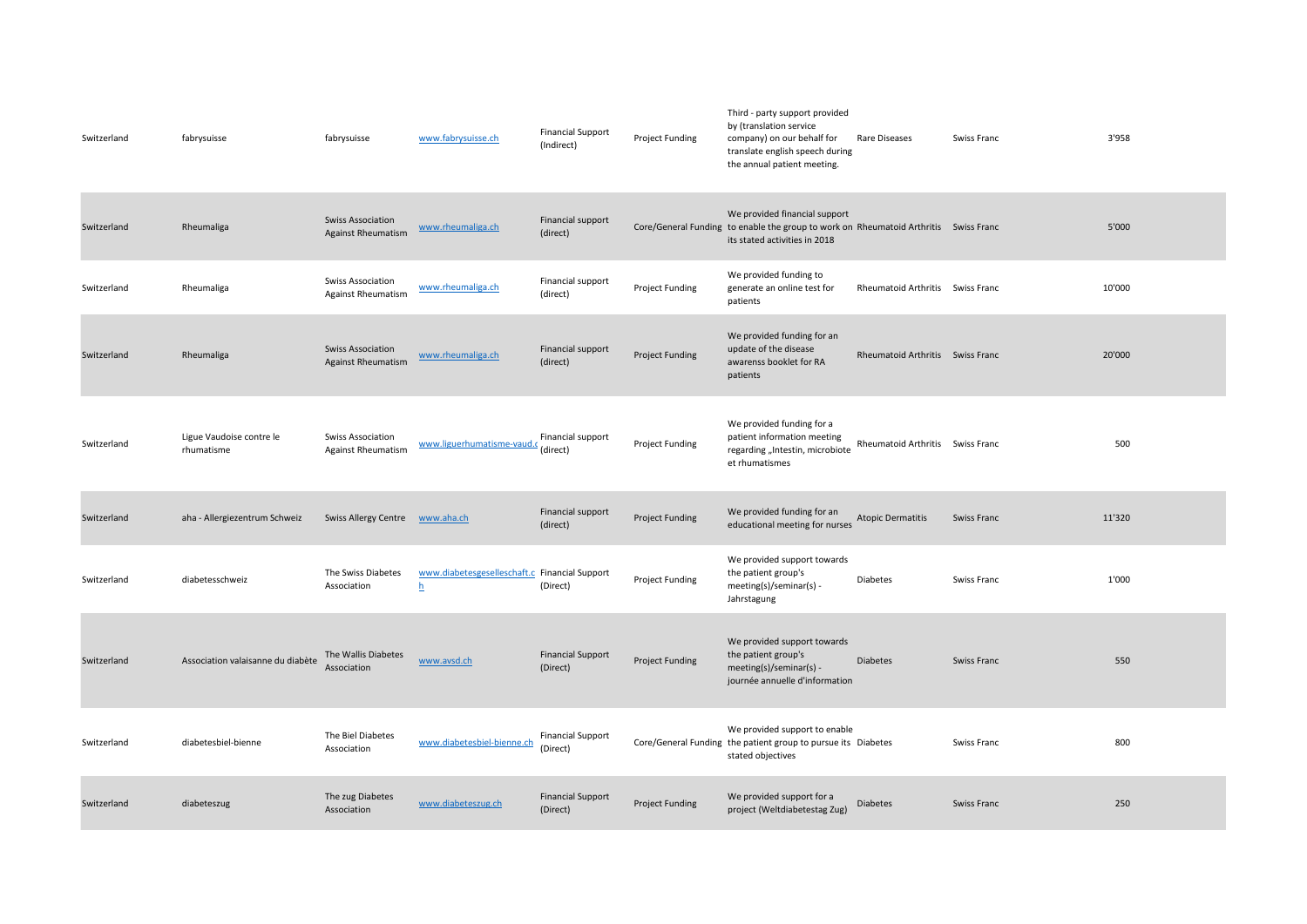| Switzerland | fabrysuisse                            | fabrysuisse                                           | www.fabrysuisse.ch                                 | <b>Financial Support</b><br>(Indirect) | <b>Project Funding</b> | Third - party support provided<br>by (translation service<br>company) on our behalf for<br>translate english speech during<br>the annual patient meeting. | Rare Diseases                    | Swiss Franc | 3'958  |
|-------------|----------------------------------------|-------------------------------------------------------|----------------------------------------------------|----------------------------------------|------------------------|-----------------------------------------------------------------------------------------------------------------------------------------------------------|----------------------------------|-------------|--------|
| Switzerland | Rheumaliga                             | <b>Swiss Association</b><br><b>Against Rheumatism</b> | www.rheumaliga.ch                                  | Financial support<br>(direct)          |                        | We provided financial support<br>Core/General Funding to enable the group to work on Rheumatoid Arthritis Swiss Franc<br>its stated activities in 2018    |                                  |             | 5'000  |
| Switzerland | Rheumaliga                             | <b>Swiss Association</b><br><b>Against Rheumatism</b> | www.rheumaliga.ch                                  | Financial support<br>(direct)          | <b>Project Funding</b> | We provided funding to<br>generate an online test for<br>patients                                                                                         | <b>Rheumatoid Arthritis</b>      | Swiss Franc | 10'000 |
| Switzerland | Rheumaliga                             | <b>Swiss Association</b><br><b>Against Rheumatism</b> | www.rheumaliga.ch                                  | Financial support<br>(direct)          | <b>Project Funding</b> | We provided funding for an<br>update of the disease<br>awarenss booklet for RA<br>patients                                                                | Rheumatoid Arthritis Swiss Franc |             | 20'000 |
| Switzerland | Ligue Vaudoise contre le<br>rhumatisme | <b>Swiss Association</b><br><b>Against Rheumatism</b> | www.liguerhumatisme-vaud.                          | Financial support<br>(direct)          | Project Funding        | We provided funding for a<br>patient information meeting<br>regarding "Intestin, microbiote<br>et rhumatismes                                             | Rheumatoid Arthritis Swiss Franc |             | 500    |
| Switzerland | aha - Allergiezentrum Schweiz          | Swiss Allergy Centre www.aha.ch                       |                                                    | Financial support<br>(direct)          | <b>Project Funding</b> | We provided funding for an<br>educational meeting for nurses                                                                                              | <b>Atopic Dermatitis</b>         | Swiss Franc | 11'320 |
| Switzerland | diabetesschweiz                        | The Swiss Diabetes<br>Association                     | www.diabetesgeselleschaft.c Financial Support<br>h | (Direct)                               | Project Funding        | We provided support towards<br>the patient group's<br>meeting(s)/seminar(s) -<br>Jahrstagung                                                              | <b>Diabetes</b>                  | Swiss Franc | 1'000  |
| Switzerland | Association valaisanne du diabète      | The Wallis Diabetes<br>Association                    | www.avsd.ch                                        | <b>Financial Support</b><br>(Direct)   | <b>Project Funding</b> | We provided support towards<br>the patient group's<br>meeting(s)/seminar(s) -<br>journée annuelle d'information                                           | <b>Diabetes</b>                  | Swiss Franc | 550    |
| Switzerland | diabetesbiel-bienne                    | The Biel Diabetes<br>Association                      | www.diabetesbiel-bienne.ch                         | <b>Financial Support</b><br>(Direct)   |                        | We provided support to enable<br>Core/General Funding the patient group to pursue its Diabetes<br>stated objectives                                       |                                  | Swiss Franc | 800    |
| Switzerland | diabeteszug                            | The zug Diabetes<br>Association                       | www.diabeteszug.ch                                 | <b>Financial Support</b><br>(Direct)   | <b>Project Funding</b> | We provided support for a<br>project (Weltdiabetestag Zug)                                                                                                | <b>Diabetes</b>                  | Swiss Franc | 250    |